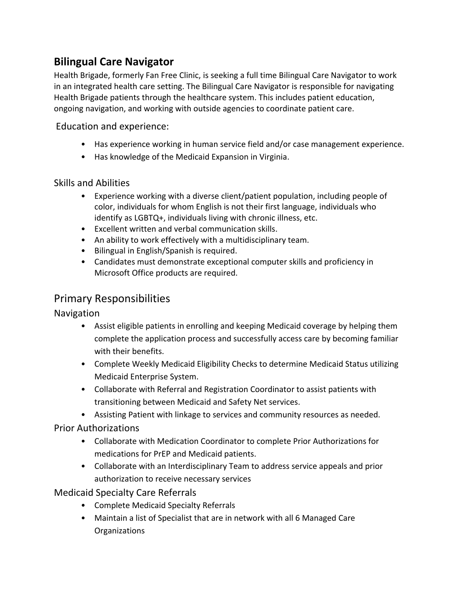# **Bilingual Care Navigator**

Health Brigade, formerly Fan Free Clinic, is seeking a full time Bilingual Care Navigator to work in an integrated health care setting. The Bilingual Care Navigator is responsible for navigating Health Brigade patients through the healthcare system. This includes patient education, ongoing navigation, and working with outside agencies to coordinate patient care.

Education and experience:

- Has experience working in human service field and/or case management experience.
- Has knowledge of the Medicaid Expansion in Virginia.

## Skills and Abilities

- Experience working with a diverse client/patient population, including people of color, individuals for whom English is not their first language, individuals who identify as LGBTQ+, individuals living with chronic illness, etc.
- Excellent written and verbal communication skills.
- An ability to work effectively with a multidisciplinary team.
- Bilingual in English/Spanish is required.
- Candidates must demonstrate exceptional computer skills and proficiency in Microsoft Office products are required.

## Primary Responsibilities

### Navigation

- Assist eligible patients in enrolling and keeping Medicaid coverage by helping them complete the application process and successfully access care by becoming familiar with their benefits.
- Complete Weekly Medicaid Eligibility Checks to determine Medicaid Status utilizing Medicaid Enterprise System.
- Collaborate with Referral and Registration Coordinator to assist patients with transitioning between Medicaid and Safety Net services.
- Assisting Patient with linkage to services and community resources as needed.

### Prior Authorizations

- Collaborate with Medication Coordinator to complete Prior Authorizations for medications for PrEP and Medicaid patients.
- Collaborate with an Interdisciplinary Team to address service appeals and prior authorization to receive necessary services

## Medicaid Specialty Care Referrals

- Complete Medicaid Specialty Referrals
- Maintain a list of Specialist that are in network with all 6 Managed Care Organizations